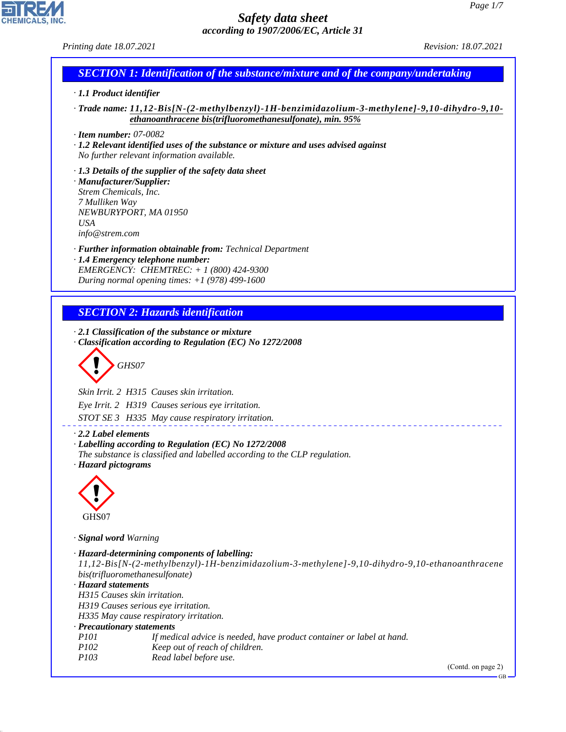*Printing date 18.07.2021 Revision: 18.07.2021*

## *SECTION 1: Identification of the substance/mixture and of the company/undertaking*

#### *· 1.1 Product identifier*

- *· Trade name: 11,12-Bis[N-(2-methylbenzyl)-1H-benzimidazolium-3-methylene]-9,10-dihydro-9,10 ethanoanthracene bis(trifluoromethanesulfonate), min. 95%*
- *· Item number: 07-0082*

*· 1.2 Relevant identified uses of the substance or mixture and uses advised against No further relevant information available.*

*· 1.3 Details of the supplier of the safety data sheet · Manufacturer/Supplier: Strem Chemicals, Inc. 7 Mulliken Way NEWBURYPORT, MA 01950 USA info@strem.com*

*· Further information obtainable from: Technical Department · 1.4 Emergency telephone number: EMERGENCY: CHEMTREC: + 1 (800) 424-9300*

*During normal opening times: +1 (978) 499-1600*

### *SECTION 2: Hazards identification*

*· 2.1 Classification of the substance or mixture · Classification according to Regulation (EC) No 1272/2008*

d~*GHS07*

*Skin Irrit. 2 H315 Causes skin irritation.*

*Eye Irrit. 2 H319 Causes serious eye irritation.*

*STOT SE 3 H335 May cause respiratory irritation.*

*· 2.2 Label elements*

*· Labelling according to Regulation (EC) No 1272/2008 The substance is classified and labelled according to the CLP regulation.*

*· Hazard pictograms*



44.1.1

*· Signal word Warning*

*· Hazard-determining components of labelling: 11,12-Bis[N-(2-methylbenzyl)-1H-benzimidazolium-3-methylene]-9,10-dihydro-9,10-ethanoanthracene bis(trifluoromethanesulfonate) · Hazard statements H315 Causes skin irritation. H319 Causes serious eye irritation. H335 May cause respiratory irritation. · Precautionary statements P101 If medical advice is needed, have product container or label at hand. P102 Keep out of reach of children. P103 Read label before use.* (Contd. on page 2) GB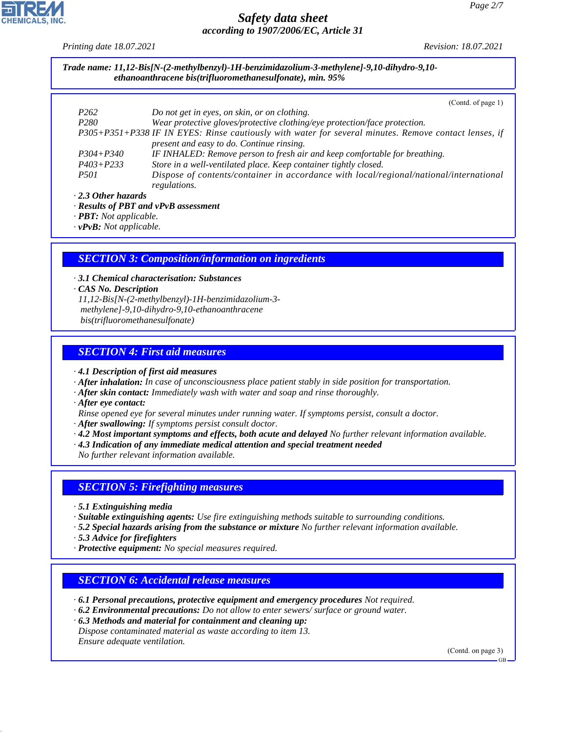*Printing date 18.07.2021 Revision: 18.07.2021*

|                  | (Contd. of page 1)                                                                                                                                 |
|------------------|----------------------------------------------------------------------------------------------------------------------------------------------------|
| P <sub>262</sub> | Do not get in eyes, on skin, or on clothing.                                                                                                       |
| P <sub>280</sub> | Wear protective gloves/protective clothing/eye protection/face protection.                                                                         |
|                  | P305+P351+P338 IF IN EYES: Rinse cautiously with water for several minutes. Remove contact lenses, if<br>present and easy to do. Continue rinsing. |
| $P304 + P340$    | IF INHALED: Remove person to fresh air and keep comfortable for breathing.                                                                         |
| $P403 + P233$    | Store in a well-ventilated place. Keep container tightly closed.                                                                                   |
| <i>P501</i>      | Dispose of contents/container in accordance with local/regional/national/international<br>regulations.                                             |

*· PBT: Not applicable. · vPvB: Not applicable.*

#### *SECTION 3: Composition/information on ingredients*

*· 3.1 Chemical characterisation: Substances · CAS No. Description 11,12-Bis[N-(2-methylbenzyl)-1H-benzimidazolium-3 methylene]-9,10-dihydro-9,10-ethanoanthracene bis(trifluoromethanesulfonate)*

#### *SECTION 4: First aid measures*

*· 4.1 Description of first aid measures*

- *· After inhalation: In case of unconsciousness place patient stably in side position for transportation.*
- *· After skin contact: Immediately wash with water and soap and rinse thoroughly.*
- *· After eye contact:*
- *Rinse opened eye for several minutes under running water. If symptoms persist, consult a doctor.*
- *· After swallowing: If symptoms persist consult doctor.*
- *· 4.2 Most important symptoms and effects, both acute and delayed No further relevant information available.*
- *· 4.3 Indication of any immediate medical attention and special treatment needed*

*No further relevant information available.*

#### *SECTION 5: Firefighting measures*

- *· 5.1 Extinguishing media*
- *· Suitable extinguishing agents: Use fire extinguishing methods suitable to surrounding conditions.*
- *· 5.2 Special hazards arising from the substance or mixture No further relevant information available.*
- *· 5.3 Advice for firefighters*
- *· Protective equipment: No special measures required.*

#### *SECTION 6: Accidental release measures*

- *· 6.1 Personal precautions, protective equipment and emergency procedures Not required.*
- *· 6.2 Environmental precautions: Do not allow to enter sewers/ surface or ground water.*
- *· 6.3 Methods and material for containment and cleaning up: Dispose contaminated material as waste according to item 13.*
- *Ensure adequate ventilation.*

44.1.1

(Contd. on page 3)

GB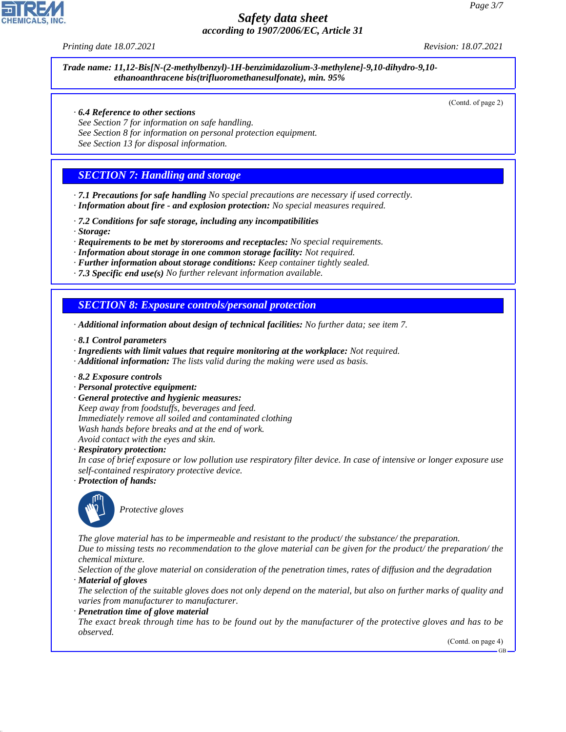*Printing date 18.07.2021 Revision: 18.07.2021*

*Trade name: 11,12-Bis[N-(2-methylbenzyl)-1H-benzimidazolium-3-methylene]-9,10-dihydro-9,10 ethanoanthracene bis(trifluoromethanesulfonate), min. 95%*

(Contd. of page 2)

- *· 6.4 Reference to other sections*
- *See Section 7 for information on safe handling.*
- *See Section 8 for information on personal protection equipment.*
- *See Section 13 for disposal information.*

#### *SECTION 7: Handling and storage*

- *· 7.1 Precautions for safe handling No special precautions are necessary if used correctly. · Information about fire - and explosion protection: No special measures required.*
- *· 7.2 Conditions for safe storage, including any incompatibilities*
- *· Storage:*
- *· Requirements to be met by storerooms and receptacles: No special requirements.*
- *· Information about storage in one common storage facility: Not required.*
- *· Further information about storage conditions: Keep container tightly sealed.*
- *· 7.3 Specific end use(s) No further relevant information available.*

#### *SECTION 8: Exposure controls/personal protection*

- *· Additional information about design of technical facilities: No further data; see item 7.*
- *· 8.1 Control parameters*
- *· Ingredients with limit values that require monitoring at the workplace: Not required.*
- *· Additional information: The lists valid during the making were used as basis.*
- *· 8.2 Exposure controls*
- *· Personal protective equipment:*
- *· General protective and hygienic measures: Keep away from foodstuffs, beverages and feed. Immediately remove all soiled and contaminated clothing Wash hands before breaks and at the end of work. Avoid contact with the eyes and skin.*
- *· Respiratory protection:*
- *In case of brief exposure or low pollution use respiratory filter device. In case of intensive or longer exposure use self-contained respiratory protective device.*
- *· Protection of hands:*



44.1.1

\_S*Protective gloves*

*The glove material has to be impermeable and resistant to the product/ the substance/ the preparation. Due to missing tests no recommendation to the glove material can be given for the product/ the preparation/ the chemical mixture.*

*Selection of the glove material on consideration of the penetration times, rates of diffusion and the degradation · Material of gloves*

*The selection of the suitable gloves does not only depend on the material, but also on further marks of quality and varies from manufacturer to manufacturer.*

#### *· Penetration time of glove material*

*The exact break through time has to be found out by the manufacturer of the protective gloves and has to be observed.*

(Contd. on page 4)

GB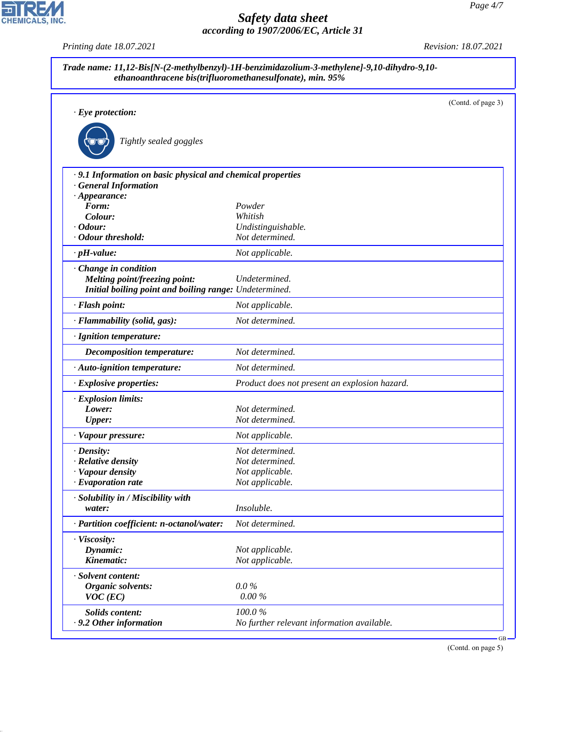|                                                            |                                               | (Contd. of page 3) |
|------------------------------------------------------------|-----------------------------------------------|--------------------|
| $\cdot$ Eye protection:                                    |                                               |                    |
|                                                            |                                               |                    |
| Tightly sealed goggles                                     |                                               |                    |
| .9.1 Information on basic physical and chemical properties |                                               |                    |
| <b>General Information</b>                                 |                                               |                    |
| $\cdot$ Appearance:                                        |                                               |                    |
| Form:                                                      | Powder<br>Whitish                             |                    |
| Colour:<br>$\cdot$ Odour:                                  | Undistinguishable.                            |                    |
| · Odour threshold:                                         | Not determined.                               |                    |
| $\cdot$ pH-value:                                          | Not applicable.                               |                    |
| · Change in condition                                      |                                               |                    |
| Melting point/freezing point:                              | Undetermined.                                 |                    |
| Initial boiling point and boiling range: Undetermined.     |                                               |                    |
| · Flash point:                                             | Not applicable.                               |                    |
| · Flammability (solid, gas):                               | Not determined.                               |                    |
| · Ignition temperature:                                    |                                               |                    |
| Decomposition temperature:                                 | Not determined.                               |                    |
| · Auto-ignition temperature:                               | Not determined.                               |                    |
| · Explosive properties:                                    | Product does not present an explosion hazard. |                    |
| · Explosion limits:                                        |                                               |                    |
| Lower:                                                     | Not determined.                               |                    |
| <b>Upper:</b>                                              | Not determined.                               |                    |
| · Vapour pressure:                                         | Not applicable.                               |                    |
| $\cdot$ Density:                                           | Not determined.                               |                    |
| · Relative density                                         | Not determined.                               |                    |
| · Vapour density                                           | Not applicable.                               |                    |
| $\cdot$ Evaporation rate                                   | Not applicable.                               |                    |
| · Solubility in / Miscibility with                         |                                               |                    |
| water:                                                     | Insoluble.                                    |                    |
| · Partition coefficient: n-octanol/water:                  | Not determined.                               |                    |
| · Viscosity:                                               |                                               |                    |
| Dynamic:                                                   | Not applicable.                               |                    |
| Kinematic:                                                 | Not applicable.                               |                    |
| · Solvent content:                                         |                                               |                    |
| Organic solvents:                                          | $0.0\%$                                       |                    |
| $VOC$ (EC)                                                 | $0.00\%$                                      |                    |
| <b>Solids content:</b>                                     | 100.0%                                        |                    |
| .9.2 Other information                                     | No further relevant information available.    |                    |

(Contd. on page 5)



44.1.1

*Printing date 18.07.2021 Revision: 18.07.2021*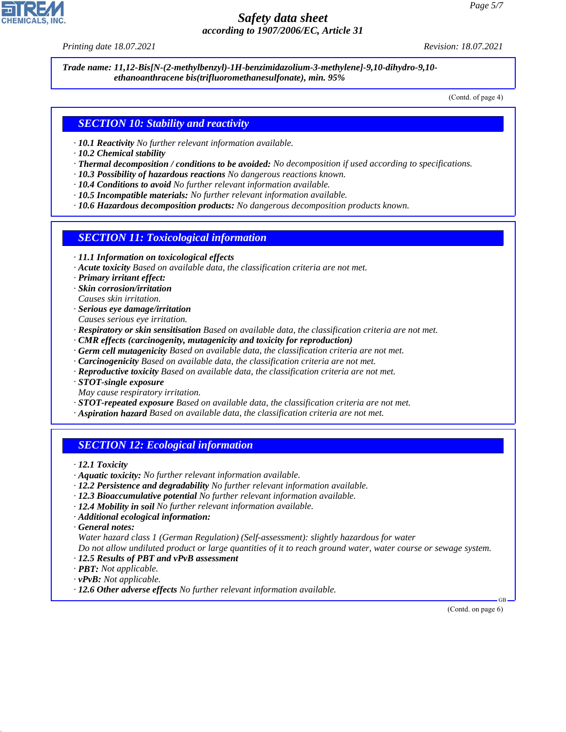*Printing date 18.07.2021 Revision: 18.07.2021*

*Trade name: 11,12-Bis[N-(2-methylbenzyl)-1H-benzimidazolium-3-methylene]-9,10-dihydro-9,10 ethanoanthracene bis(trifluoromethanesulfonate), min. 95%*

(Contd. of page 4)

#### *SECTION 10: Stability and reactivity*

- *· 10.1 Reactivity No further relevant information available.*
- *· 10.2 Chemical stability*
- *· Thermal decomposition / conditions to be avoided: No decomposition if used according to specifications.*
- *· 10.3 Possibility of hazardous reactions No dangerous reactions known.*
- *· 10.4 Conditions to avoid No further relevant information available.*
- *· 10.5 Incompatible materials: No further relevant information available.*
- *· 10.6 Hazardous decomposition products: No dangerous decomposition products known.*

#### *SECTION 11: Toxicological information*

- *· 11.1 Information on toxicological effects*
- *· Acute toxicity Based on available data, the classification criteria are not met.*
- *· Primary irritant effect:*
- *· Skin corrosion/irritation*
- *Causes skin irritation.*
- *· Serious eye damage/irritation*
- *Causes serious eye irritation.*
- *· Respiratory or skin sensitisation Based on available data, the classification criteria are not met.*
- *· CMR effects (carcinogenity, mutagenicity and toxicity for reproduction)*
- *· Germ cell mutagenicity Based on available data, the classification criteria are not met.*
- *· Carcinogenicity Based on available data, the classification criteria are not met.*
- *· Reproductive toxicity Based on available data, the classification criteria are not met.*
- *· STOT-single exposure*
- *May cause respiratory irritation.*
- *· STOT-repeated exposure Based on available data, the classification criteria are not met.*
- *· Aspiration hazard Based on available data, the classification criteria are not met.*

#### *SECTION 12: Ecological information*

*· 12.1 Toxicity*

- *· Aquatic toxicity: No further relevant information available.*
- *· 12.2 Persistence and degradability No further relevant information available.*
- *· 12.3 Bioaccumulative potential No further relevant information available.*
- *· 12.4 Mobility in soil No further relevant information available.*
- *· Additional ecological information:*

*· General notes:*

44.1.1

*Water hazard class 1 (German Regulation) (Self-assessment): slightly hazardous for water*

*Do not allow undiluted product or large quantities of it to reach ground water, water course or sewage system.*

- *· 12.5 Results of PBT and vPvB assessment*
- *· PBT: Not applicable.*
- *· vPvB: Not applicable.*
- *· 12.6 Other adverse effects No further relevant information available.*

 GB (Contd. on page 6)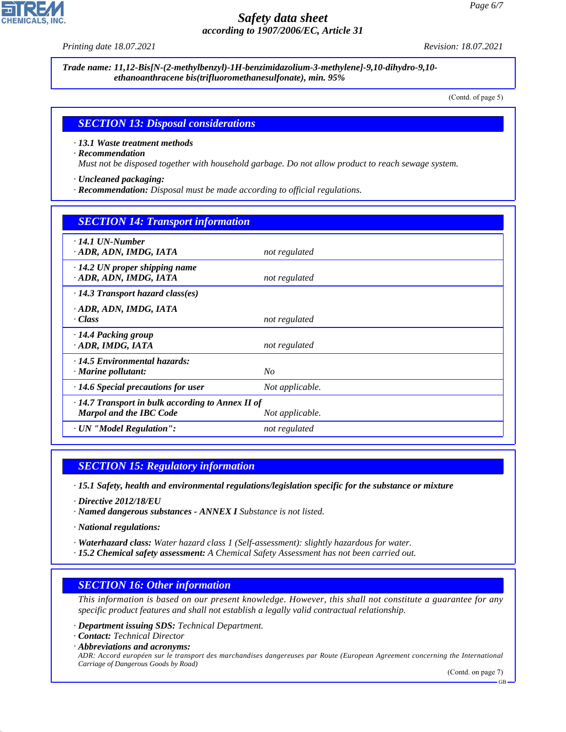*Printing date 18.07.2021 Revision: 18.07.2021*

*Trade name: 11,12-Bis[N-(2-methylbenzyl)-1H-benzimidazolium-3-methylene]-9,10-dihydro-9,10 ethanoanthracene bis(trifluoromethanesulfonate), min. 95%*

(Contd. of page 5)

#### *SECTION 13: Disposal considerations*

*· 13.1 Waste treatment methods*

*· Recommendation*

*Must not be disposed together with household garbage. Do not allow product to reach sewage system.*

*· Uncleaned packaging:*

*· Recommendation: Disposal must be made according to official regulations.*

| <b>SECTION 14: Transport information</b>                                                                     |                 |  |  |
|--------------------------------------------------------------------------------------------------------------|-----------------|--|--|
| $\cdot$ 14.1 UN-Number<br>ADR, ADN, IMDG, IATA                                                               | not regulated   |  |  |
| $\cdot$ 14.2 UN proper shipping name<br>· ADR, ADN, IMDG, IATA                                               | not regulated   |  |  |
| $\cdot$ 14.3 Transport hazard class(es)                                                                      |                 |  |  |
| $\cdot$ ADR, ADN, IMDG, IATA<br>· Class                                                                      | not regulated   |  |  |
| · 14.4 Packing group<br>· ADR, IMDG, IATA                                                                    | not regulated   |  |  |
| $\cdot$ 14.5 Environmental hazards:<br>$\cdot$ Marine pollutant:                                             | No              |  |  |
| $\cdot$ 14.6 Special precautions for user                                                                    | Not applicable. |  |  |
| $\cdot$ 14.7 Transport in bulk according to Annex II of<br><b>Marpol and the IBC Code</b><br>Not applicable. |                 |  |  |
| · UN "Model Regulation":                                                                                     | not regulated   |  |  |

#### *SECTION 15: Regulatory information*

*· 15.1 Safety, health and environmental regulations/legislation specific for the substance or mixture*

*· Directive 2012/18/EU*

*· Named dangerous substances - ANNEX I Substance is not listed.*

*· National regulations:*

*· Waterhazard class: Water hazard class 1 (Self-assessment): slightly hazardous for water.*

*· 15.2 Chemical safety assessment: A Chemical Safety Assessment has not been carried out.*

# *SECTION 16: Other information*

*This information is based on our present knowledge. However, this shall not constitute a guarantee for any specific product features and shall not establish a legally valid contractual relationship.*

*· Department issuing SDS: Technical Department.*

*· Contact: Technical Director*

44.1.1

*· Abbreviations and acronyms: ADR: Accord européen sur le transport des marchandises dangereuses par Route (European Agreement concerning the International Carriage of Dangerous Goods by Road)*

(Contd. on page 7)

GB